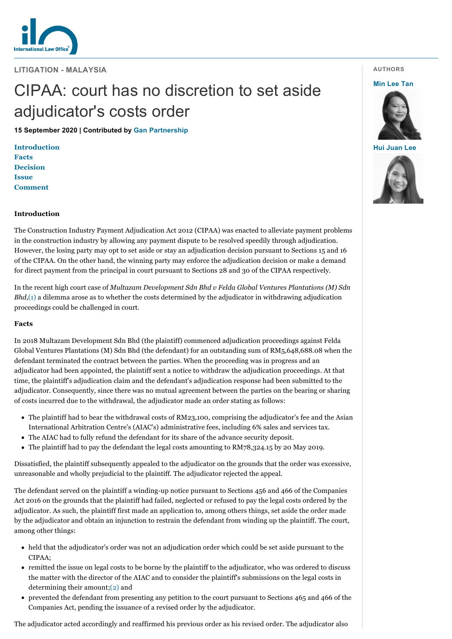

**LITIGATION - MALAYSIA**

# CIPAA: court has no discretion to set aside adjudicator's costs order

**15 September 2020 | Contributed by [Gan Partnership](https://www.internationallawoffice.com/gesr.ashx?l=95VAZLB)**

**[Introduction](#page-0-0) [Facts](#page-0-1) [Decision](#page-1-0) [Issue](#page-1-1) [Comment](#page-1-2)**

## <span id="page-0-0"></span>**Introduction**

The Construction Industry Payment Adjudication Act 2012 (CIPAA) was enacted to alleviate payment problems in the construction industry by allowing any payment dispute to be resolved speedily through adjudication. However, the losing party may opt to set aside or stay an adjudication decision pursuant to Sections 15 and 16 of the CIPAA. On the other hand, the winning party may enforce the adjudication decision or make a demand for direct payment from the principal in court pursuant to Sections 28 and 30 of the CIPAA respectively.

In the recent high court case of *Multazam Development Sdn Bhd v Felda Global Ventures Plantations (M) Sdn Bhd*[,\(1\)](#page-1-3) a dilemma arose as to whether the costs determined by the adjudicator in withdrawing adjudication proceedings could be challenged in court.

#### <span id="page-0-1"></span>**Facts**

In 2018 Multazam Development Sdn Bhd (the plaintiff) commenced adjudication proceedings against Felda Global Ventures Plantations (M) Sdn Bhd (the defendant) for an outstanding sum of RM5,648,688.08 when the defendant terminated the contract between the parties. When the proceeding was in progress and an adjudicator had been appointed, the plaintiff sent a notice to withdraw the adjudication proceedings. At that time, the plaintiff's adjudication claim and the defendant's adjudication response had been submitted to the adjudicator. Consequently, since there was no mutual agreement between the parties on the bearing or sharing of costs incurred due to the withdrawal, the adjudicator made an order stating as follows:

- The plaintiff had to bear the withdrawal costs of RM23,100, comprising the adjudicator's fee and the Asian International Arbitration Centre's (AIAC's) administrative fees, including 6% sales and services tax.
- The AIAC had to fully refund the defendant for its share of the advance security deposit.
- The plaintiff had to pay the defendant the legal costs amounting to RM78,324.15 by 20 May 2019.

Dissatisfied, the plaintiff subsequently appealed to the adjudicator on the grounds that the order was excessive, unreasonable and wholly prejudicial to the plaintiff. The adjudicator rejected the appeal.

The defendant served on the plaintiff a winding-up notice pursuant to Sections 456 and 466 of the Companies Act 2016 on the grounds that the plaintiff had failed, neglected or refused to pay the legal costs ordered by the adjudicator. As such, the plaintiff first made an application to, among others things, set aside the order made by the adjudicator and obtain an injunction to restrain the defendant from winding up the plaintiff. The court, among other things:

- held that the adjudicator's order was not an adjudication order which could be set aside pursuant to the CIPAA;
- remitted the issue on legal costs to be borne by the plaintiff to the adjudicator, who was ordered to discuss the matter with the director of the AIAC and to consider the plaintiff's submissions on the legal costs in determining their amount;[\(2\)](#page-1-4) and
- prevented the defendant from presenting any petition to the court pursuant to Sections 465 and 466 of the Companies Act, pending the issuance of a revised order by the adjudicator.

The adjudicator acted accordingly and reaffirmed his previous order as his revised order. The adjudicator also

## **AUTHORS**

#### **[Min Lee Tan](https://www.internationallawoffice.com/gesr.ashx?l=95VAZLS)**



**[Hui Juan Lee](https://www.internationallawoffice.com/gesr.ashx?l=95VAZLV)**